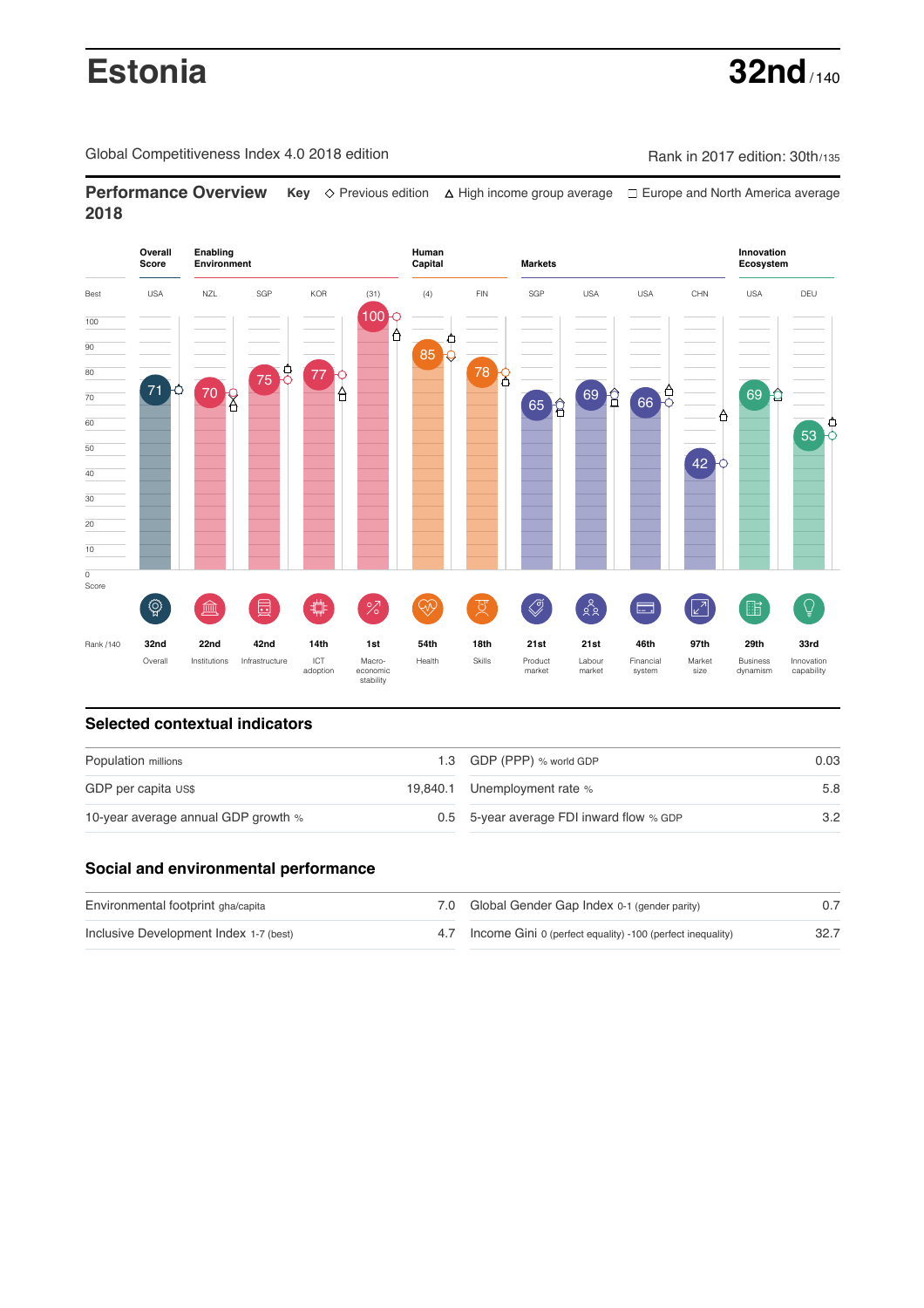# **Estonia 32nd** / 140

Global Competitiveness Index 4.0 2018 edition Company Rank in 2017 edition: 30th/135

**Performance Overview** Key  $\Diamond$  Previous edition ∆ High income group average  $\Box$  Europe and North America average **2018**



## **Selected contextual indicators**

| Population millions                 |  | 1.3 GDP (PPP) % world GDP                | 0.03 |  |
|-------------------------------------|--|------------------------------------------|------|--|
| GDP per capita US\$                 |  | 19,840.1 Unemployment rate %             | 5.8  |  |
| 10-year average annual GDP growth % |  | 0.5 5-year average FDI inward flow % GDP | 3.2  |  |

# **Social and environmental performance**

| Environmental footprint gha/capita     | 7.0 Global Gender Gap Index 0-1 (gender parity)                |  |
|----------------------------------------|----------------------------------------------------------------|--|
| Inclusive Development Index 1-7 (best) | 4.7 Income Gini 0 (perfect equality) -100 (perfect inequality) |  |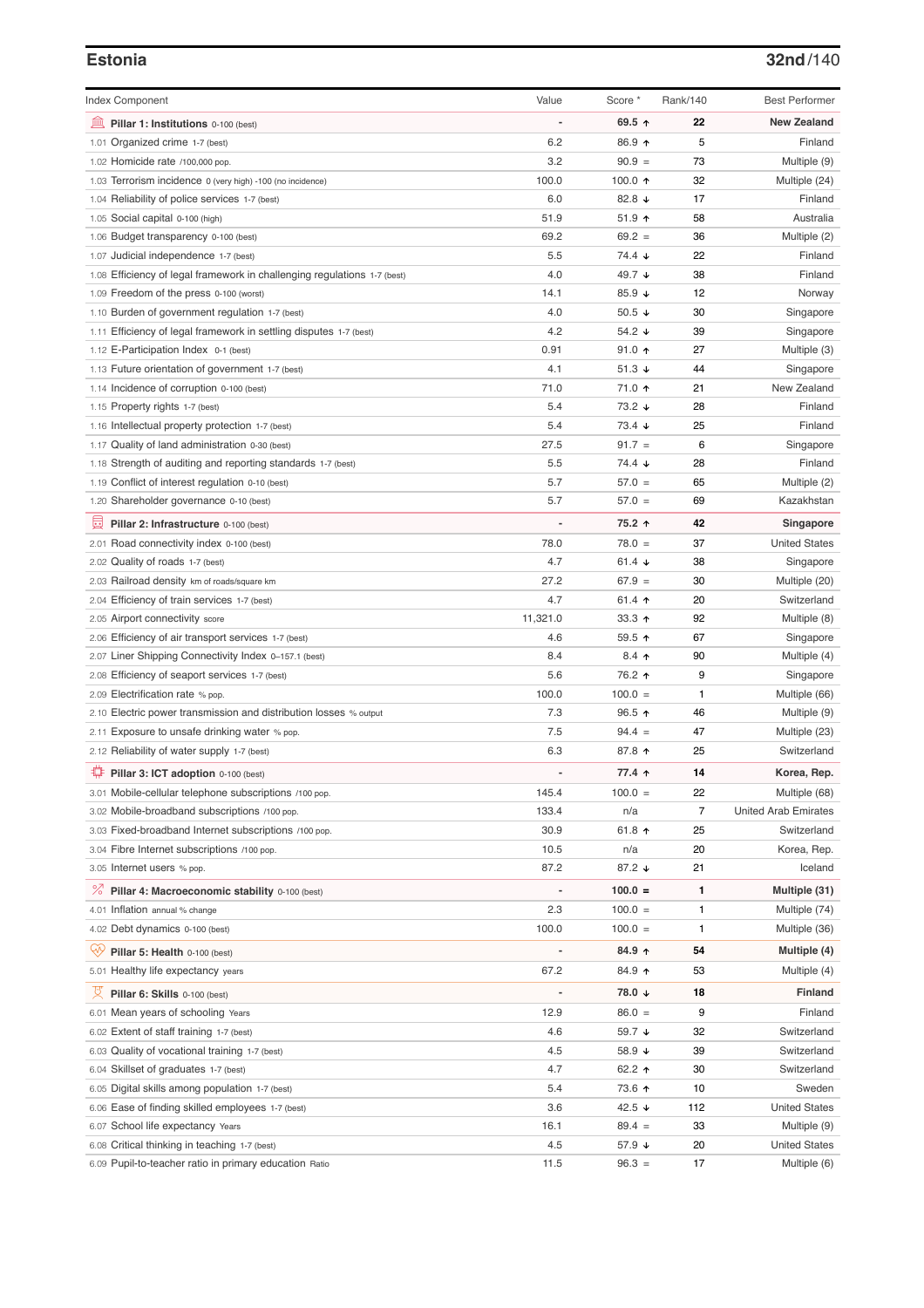### **Estonia 32nd**/140

| <b>Index Component</b>                                                   | Value                        | Score *          | Rank/140 | <b>Best Performer</b>        |
|--------------------------------------------------------------------------|------------------------------|------------------|----------|------------------------------|
| 皿<br>Pillar 1: Institutions 0-100 (best)                                 |                              | 69.5 ↑           | 22       | <b>New Zealand</b>           |
| 1.01 Organized crime 1-7 (best)                                          | 6.2                          | 86.9 ↑           | 5        | Finland                      |
| 1.02 Homicide rate /100,000 pop.                                         | 3.2                          | $90.9 =$         | 73       | Multiple (9)                 |
| 1.03 Terrorism incidence 0 (very high) -100 (no incidence)               | 100.0                        | 100.0 $\uparrow$ | 32       | Multiple (24)                |
| 1.04 Reliability of police services 1-7 (best)                           | 6.0                          | 82.8 $\sqrt{ }$  | 17       | Finland                      |
| 1.05 Social capital 0-100 (high)                                         | 51.9                         | $51.9$ ↑         | 58       | Australia                    |
| 1.06 Budget transparency 0-100 (best)                                    | 69.2                         | $69.2 =$         | 36       | Multiple (2)                 |
| 1.07 Judicial independence 1-7 (best)                                    | 5.5                          | 74.4 ↓           | 22       | Finland                      |
| 1.08 Efficiency of legal framework in challenging regulations 1-7 (best) | 4.0                          | 49.7 ↓           | 38       | Finland                      |
| 1.09 Freedom of the press 0-100 (worst)                                  | 14.1                         | 85.9 $\sqrt{ }$  | 12       | Norway                       |
| 1.10 Burden of government regulation 1-7 (best)                          | 4.0                          | 50.5 $\sqrt{ }$  | 30       | Singapore                    |
| 1.11 Efficiency of legal framework in settling disputes 1-7 (best)       | 4.2                          | 54.2 $\sqrt{ }$  | 39       | Singapore                    |
| 1.12 E-Participation Index 0-1 (best)                                    | 0.91                         | $91.0$ ↑         | 27       | Multiple (3)                 |
| 1.13 Future orientation of government 1-7 (best)                         | 4.1                          | 51.3 $\sqrt{ }$  | 44       | Singapore                    |
| 1.14 Incidence of corruption 0-100 (best)                                | 71.0                         | 71.0 ↑           | 21       | New Zealand                  |
| 1.15 Property rights 1-7 (best)                                          | 5.4                          | 73.2 ↓           | 28       | Finland                      |
| 1.16 Intellectual property protection 1-7 (best)                         | 5.4                          | $73.4 +$         | 25       | Finland                      |
| 1.17 Quality of land administration 0-30 (best)                          | 27.5                         | $91.7 =$         | 6        | Singapore                    |
| 1.18 Strength of auditing and reporting standards 1-7 (best)             | 5.5                          | 74.4 ↓           | 28       | Finland                      |
| 1.19 Conflict of interest regulation 0-10 (best)                         | 5.7                          | $57.0 =$         | 65       | Multiple (2)                 |
| 1.20 Shareholder governance 0-10 (best)                                  | 5.7                          | $57.0 =$         | 69       | Kazakhstan                   |
| 曼<br>Pillar 2: Infrastructure 0-100 (best)                               |                              | 75.2 ↑           | 42       | Singapore                    |
| 2.01 Road connectivity index 0-100 (best)                                | 78.0                         | $78.0 =$         | 37       | <b>United States</b>         |
| 2.02 Quality of roads 1-7 (best)                                         | 4.7                          | 61.4 $\sqrt{ }$  | 38       | Singapore                    |
|                                                                          | 27.2                         | $67.9 =$         | 30       |                              |
| 2.03 Railroad density km of roads/square km                              | 4.7                          |                  | 20       | Multiple (20)<br>Switzerland |
| 2.04 Efficiency of train services 1-7 (best)                             |                              | 61.4 $\uparrow$  |          |                              |
| 2.05 Airport connectivity score                                          | 11,321.0                     | $33.3 +$         | 92       | Multiple (8)                 |
| 2.06 Efficiency of air transport services 1-7 (best)                     | 4.6                          | 59.5 ↑           | 67       | Singapore                    |
| 2.07 Liner Shipping Connectivity Index 0-157.1 (best)                    | 8.4                          | $8.4$ ↑          | 90       | Multiple (4)                 |
| 2.08 Efficiency of seaport services 1-7 (best)                           | 5.6                          | 76.2 ↑           | 9        | Singapore                    |
| 2.09 Electrification rate % pop.                                         | 100.0                        | $100.0 =$        | 1        | Multiple (66)                |
| 2.10 Electric power transmission and distribution losses % output        | 7.3                          | $96.5$ ↑         | 46       | Multiple (9)                 |
| 2.11 Exposure to unsafe drinking water % pop.                            | 7.5                          | $94.4 =$         | 47       | Multiple (23)                |
| 2.12 Reliability of water supply 1-7 (best)                              | 6.3                          | 87.8 ↑           | 25       | Switzerland                  |
| ₽<br>Pillar 3: ICT adoption 0-100 (best)                                 |                              | 77.4 ↑           | 14       | Korea, Rep.                  |
| 3.01 Mobile-cellular telephone subscriptions /100 pop.                   | 145.4                        | $100.0 =$        | 22       | Multiple (68)                |
| 3.02 Mobile-broadband subscriptions /100 pop.                            | 133.4                        | n/a              | 7        | <b>United Arab Emirates</b>  |
| 3.03 Fixed-broadband Internet subscriptions /100 pop.                    | 30.9                         | 61.8 $\uparrow$  | 25       | Switzerland                  |
| 3.04 Fibre Internet subscriptions /100 pop.                              | 10.5                         | n/a              | 20       | Korea, Rep.                  |
| 3.05 Internet users % pop.                                               | 87.2                         | 87.2 ↓           | 21       | Iceland                      |
| <sup>%</sup> Pillar 4: Macroeconomic stability 0-100 (best)              | $\qquad \qquad \blacksquare$ | $100.0 =$        | 1        | Multiple (31)                |
| 4.01 Inflation annual % change                                           | 2.3                          | $100.0 =$        | 1        | Multiple (74)                |
| 4.02 Debt dynamics 0-100 (best)                                          | 100.0                        | $100.0 =$        | 1        | Multiple (36)                |
| Qiy<br>Pillar 5: Health 0-100 (best)                                     |                              | 84.9 个           | 54       | Multiple (4)                 |
| 5.01 Healthy life expectancy years                                       | 67.2                         | 84.9 ↑           | 53       | Multiple (4)                 |
| 성<br>Pillar 6: Skills 0-100 (best)                                       |                              | 78.0 ↓           | 18       | <b>Finland</b>               |
|                                                                          |                              |                  |          |                              |
| 6.01 Mean years of schooling Years                                       | 12.9                         | $86.0 =$         | 9        | Finland                      |
| 6.02 Extent of staff training 1-7 (best)                                 | 4.6                          | 59.7 ↓           | 32       | Switzerland                  |
| 6.03 Quality of vocational training 1-7 (best)                           | 4.5                          | 58.9 ↓           | 39       | Switzerland                  |
| 6.04 Skillset of graduates 1-7 (best)                                    | 4.7                          | 62.2 ↑           | 30       | Switzerland                  |
| 6.05 Digital skills among population 1-7 (best)                          | 5.4                          | 73.6 个           | 10       | Sweden                       |
| 6.06 Ease of finding skilled employees 1-7 (best)                        | 3.6                          | 42.5 $\sqrt{ }$  | 112      | <b>United States</b>         |
| 6.07 School life expectancy Years                                        | 16.1                         | $89.4 =$         | 33       | Multiple (9)                 |
| 6.08 Critical thinking in teaching 1-7 (best)                            | 4.5                          | 57.9 ↓           | 20       | <b>United States</b>         |
| 6.09 Pupil-to-teacher ratio in primary education Ratio                   | 11.5                         | $96.3 =$         | 17       | Multiple (6)                 |